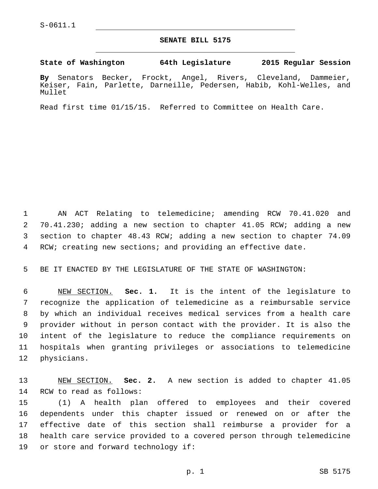## **SENATE BILL 5175**

**State of Washington 64th Legislature 2015 Regular Session**

**By** Senators Becker, Frockt, Angel, Rivers, Cleveland, Dammeier, Keiser, Fain, Parlette, Darneille, Pedersen, Habib, Kohl-Welles, and Mullet

Read first time 01/15/15. Referred to Committee on Health Care.

 AN ACT Relating to telemedicine; amending RCW 70.41.020 and 70.41.230; adding a new section to chapter 41.05 RCW; adding a new section to chapter 48.43 RCW; adding a new section to chapter 74.09 RCW; creating new sections; and providing an effective date.

BE IT ENACTED BY THE LEGISLATURE OF THE STATE OF WASHINGTON:

 NEW SECTION. **Sec. 1.** It is the intent of the legislature to recognize the application of telemedicine as a reimbursable service by which an individual receives medical services from a health care provider without in person contact with the provider. It is also the intent of the legislature to reduce the compliance requirements on hospitals when granting privileges or associations to telemedicine physicians.

 NEW SECTION. **Sec. 2.** A new section is added to chapter 41.05 14 RCW to read as follows:

 (1) A health plan offered to employees and their covered dependents under this chapter issued or renewed on or after the effective date of this section shall reimburse a provider for a health care service provided to a covered person through telemedicine 19 or store and forward technology if: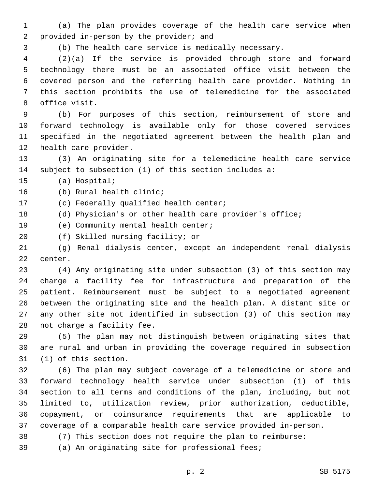(a) The plan provides coverage of the health care service when 2 provided in-person by the provider; and

(b) The health care service is medically necessary.

 (2)(a) If the service is provided through store and forward technology there must be an associated office visit between the covered person and the referring health care provider. Nothing in this section prohibits the use of telemedicine for the associated 8 office visit.

 (b) For purposes of this section, reimbursement of store and forward technology is available only for those covered services specified in the negotiated agreement between the health plan and 12 health care provider.

 (3) An originating site for a telemedicine health care service subject to subsection (1) of this section includes a:

15 (a) Hospital;

16 (b) Rural health clinic;

17 (c) Federally qualified health center;

(d) Physician's or other health care provider's office;

19 (e) Community mental health center;

20 (f) Skilled nursing facility; or

 (g) Renal dialysis center, except an independent renal dialysis 22 center.

 (4) Any originating site under subsection (3) of this section may charge a facility fee for infrastructure and preparation of the patient. Reimbursement must be subject to a negotiated agreement between the originating site and the health plan. A distant site or any other site not identified in subsection (3) of this section may 28 not charge a facility fee.

 (5) The plan may not distinguish between originating sites that are rural and urban in providing the coverage required in subsection 31 (1) of this section.

 (6) The plan may subject coverage of a telemedicine or store and forward technology health service under subsection (1) of this section to all terms and conditions of the plan, including, but not limited to, utilization review, prior authorization, deductible, copayment, or coinsurance requirements that are applicable to coverage of a comparable health care service provided in-person.

(7) This section does not require the plan to reimburse:

(a) An originating site for professional fees;

p. 2 SB 5175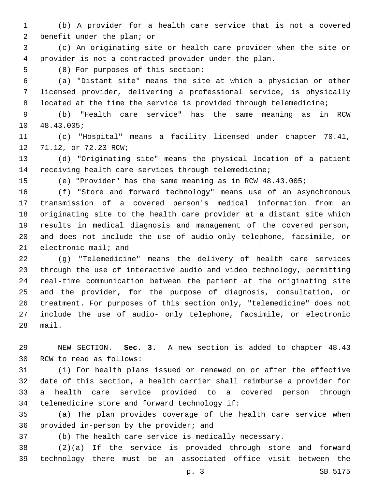(b) A provider for a health care service that is not a covered 2 benefit under the plan; or

 (c) An originating site or health care provider when the site or provider is not a contracted provider under the plan.

5 (8) For purposes of this section:

 (a) "Distant site" means the site at which a physician or other licensed provider, delivering a professional service, is physically 8 located at the time the service is provided through telemedicine;

 (b) "Health care service" has the same meaning as in RCW 10 48.43.005;

 (c) "Hospital" means a facility licensed under chapter 70.41, 12 71.12, or 72.23 RCW;

 (d) "Originating site" means the physical location of a patient receiving health care services through telemedicine;

(e) "Provider" has the same meaning as in RCW 48.43.005;

 (f) "Store and forward technology" means use of an asynchronous transmission of a covered person's medical information from an originating site to the health care provider at a distant site which results in medical diagnosis and management of the covered person, and does not include the use of audio-only telephone, facsimile, or 21 electronic mail; and

 (g) "Telemedicine" means the delivery of health care services through the use of interactive audio and video technology, permitting real-time communication between the patient at the originating site and the provider, for the purpose of diagnosis, consultation, or treatment. For purposes of this section only, "telemedicine" does not include the use of audio- only telephone, facsimile, or electronic mail.

 NEW SECTION. **Sec. 3.** A new section is added to chapter 48.43 30 RCW to read as follows:

 (1) For health plans issued or renewed on or after the effective date of this section, a health carrier shall reimburse a provider for a health care service provided to a covered person through 34 telemedicine store and forward technology if:

 (a) The plan provides coverage of the health care service when 36 provided in-person by the provider; and

(b) The health care service is medically necessary.

 (2)(a) If the service is provided through store and forward technology there must be an associated office visit between the

p. 3 SB 5175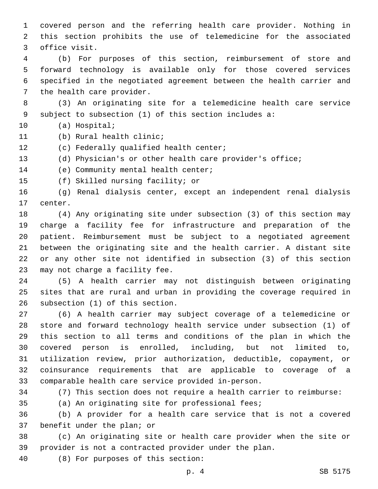covered person and the referring health care provider. Nothing in this section prohibits the use of telemedicine for the associated 3 office visit.

 (b) For purposes of this section, reimbursement of store and forward technology is available only for those covered services specified in the negotiated agreement between the health carrier and 7 the health care provider.

 (3) An originating site for a telemedicine health care service subject to subsection (1) of this section includes a:

10 (a) Hospital;

- 11 (b) Rural health clinic;
- 12 (c) Federally qualified health center;
- (d) Physician's or other health care provider's office;

14 (e) Community mental health center;

15 (f) Skilled nursing facility; or

 (g) Renal dialysis center, except an independent renal dialysis 17 center.

 (4) Any originating site under subsection (3) of this section may charge a facility fee for infrastructure and preparation of the patient. Reimbursement must be subject to a negotiated agreement between the originating site and the health carrier. A distant site or any other site not identified in subsection (3) of this section 23 may not charge a facility fee.

 (5) A health carrier may not distinguish between originating sites that are rural and urban in providing the coverage required in 26 subsection (1) of this section.

 (6) A health carrier may subject coverage of a telemedicine or store and forward technology health service under subsection (1) of this section to all terms and conditions of the plan in which the covered person is enrolled, including, but not limited to, utilization review, prior authorization, deductible, copayment, or coinsurance requirements that are applicable to coverage of a comparable health care service provided in-person.

(7) This section does not require a health carrier to reimburse:

(a) An originating site for professional fees;

 (b) A provider for a health care service that is not a covered 37 benefit under the plan; or

 (c) An originating site or health care provider when the site or provider is not a contracted provider under the plan.

(8) For purposes of this section:40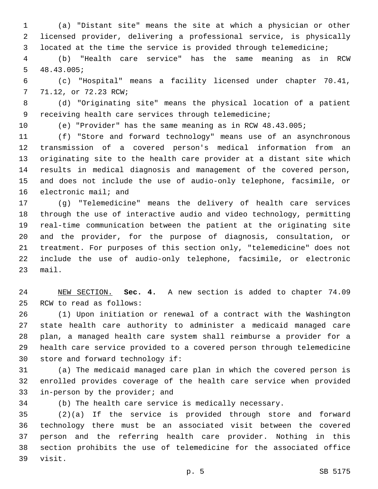(a) "Distant site" means the site at which a physician or other licensed provider, delivering a professional service, is physically located at the time the service is provided through telemedicine;

 (b) "Health care service" has the same meaning as in RCW  $5, 48.43.005;$ 

 (c) "Hospital" means a facility licensed under chapter 70.41, 7 71.12, or 72.23 RCW;

 (d) "Originating site" means the physical location of a patient receiving health care services through telemedicine;

(e) "Provider" has the same meaning as in RCW 48.43.005;

 (f) "Store and forward technology" means use of an asynchronous transmission of a covered person's medical information from an originating site to the health care provider at a distant site which results in medical diagnosis and management of the covered person, and does not include the use of audio-only telephone, facsimile, or 16 electronic mail; and

 (g) "Telemedicine" means the delivery of health care services through the use of interactive audio and video technology, permitting real-time communication between the patient at the originating site and the provider, for the purpose of diagnosis, consultation, or treatment. For purposes of this section only, "telemedicine" does not include the use of audio-only telephone, facsimile, or electronic mail.

 NEW SECTION. **Sec. 4.** A new section is added to chapter 74.09 25 RCW to read as follows:

 (1) Upon initiation or renewal of a contract with the Washington state health care authority to administer a medicaid managed care plan, a managed health care system shall reimburse a provider for a health care service provided to a covered person through telemedicine 30 store and forward technology if:

 (a) The medicaid managed care plan in which the covered person is enrolled provides coverage of the health care service when provided 33 in-person by the provider; and

(b) The health care service is medically necessary.

 (2)(a) If the service is provided through store and forward technology there must be an associated visit between the covered person and the referring health care provider. Nothing in this section prohibits the use of telemedicine for the associated office 39 visit.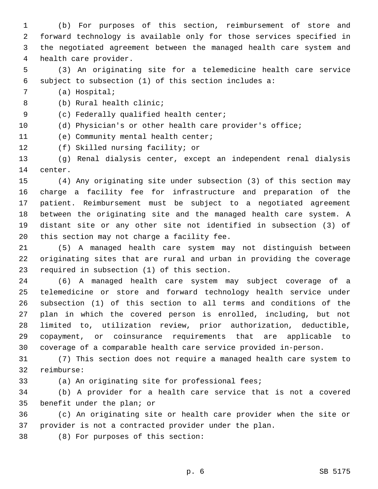(b) For purposes of this section, reimbursement of store and forward technology is available only for those services specified in the negotiated agreement between the managed health care system and 4 health care provider.

 (3) An originating site for a telemedicine health care service subject to subsection (1) of this section includes a:

7 (a) Hospital;

(b) Rural health clinic;8

9 (c) Federally qualified health center;

(d) Physician's or other health care provider's office;

11 (e) Community mental health center;

12 (f) Skilled nursing facility; or

 (g) Renal dialysis center, except an independent renal dialysis 14 center.

 (4) Any originating site under subsection (3) of this section may charge a facility fee for infrastructure and preparation of the patient. Reimbursement must be subject to a negotiated agreement between the originating site and the managed health care system. A distant site or any other site not identified in subsection (3) of 20 this section may not charge a facility fee.

 (5) A managed health care system may not distinguish between originating sites that are rural and urban in providing the coverage 23 required in subsection (1) of this section.

 (6) A managed health care system may subject coverage of a telemedicine or store and forward technology health service under subsection (1) of this section to all terms and conditions of the plan in which the covered person is enrolled, including, but not limited to, utilization review, prior authorization, deductible, copayment, or coinsurance requirements that are applicable to coverage of a comparable health care service provided in-person.

 (7) This section does not require a managed health care system to 32 reimburse:

(a) An originating site for professional fees;

 (b) A provider for a health care service that is not a covered 35 benefit under the plan; or

 (c) An originating site or health care provider when the site or provider is not a contracted provider under the plan.

38 (8) For purposes of this section: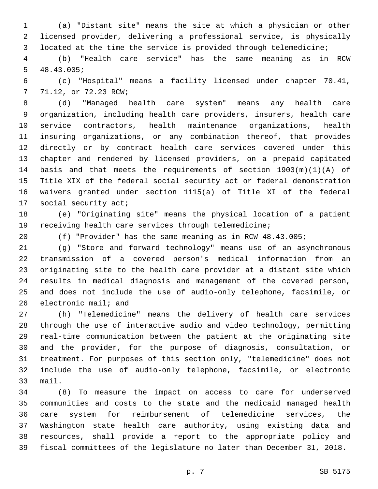(a) "Distant site" means the site at which a physician or other licensed provider, delivering a professional service, is physically located at the time the service is provided through telemedicine;

 (b) "Health care service" has the same meaning as in RCW  $5, 48.43.005;$ 

 (c) "Hospital" means a facility licensed under chapter 70.41, 7 71.12, or 72.23 RCW;

 (d) "Managed health care system" means any health care organization, including health care providers, insurers, health care service contractors, health maintenance organizations, health insuring organizations, or any combination thereof, that provides directly or by contract health care services covered under this chapter and rendered by licensed providers, on a prepaid capitated basis and that meets the requirements of section 1903(m)(1)(A) of Title XIX of the federal social security act or federal demonstration waivers granted under section 1115(a) of Title XI of the federal 17 social security act;

 (e) "Originating site" means the physical location of a patient receiving health care services through telemedicine;

(f) "Provider" has the same meaning as in RCW 48.43.005;

 (g) "Store and forward technology" means use of an asynchronous transmission of a covered person's medical information from an originating site to the health care provider at a distant site which results in medical diagnosis and management of the covered person, and does not include the use of audio-only telephone, facsimile, or electronic mail; and

 (h) "Telemedicine" means the delivery of health care services through the use of interactive audio and video technology, permitting real-time communication between the patient at the originating site and the provider, for the purpose of diagnosis, consultation, or treatment. For purposes of this section only, "telemedicine" does not include the use of audio-only telephone, facsimile, or electronic 33 mail.

 (8) To measure the impact on access to care for underserved communities and costs to the state and the medicaid managed health care system for reimbursement of telemedicine services, the Washington state health care authority, using existing data and resources, shall provide a report to the appropriate policy and fiscal committees of the legislature no later than December 31, 2018.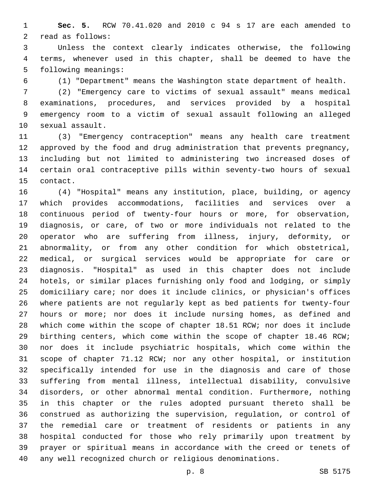**Sec. 5.** RCW 70.41.020 and 2010 c 94 s 17 are each amended to 2 read as follows:

 Unless the context clearly indicates otherwise, the following terms, whenever used in this chapter, shall be deemed to have the 5 following meanings:

(1) "Department" means the Washington state department of health.

 (2) "Emergency care to victims of sexual assault" means medical examinations, procedures, and services provided by a hospital emergency room to a victim of sexual assault following an alleged 10 sexual assault.

 (3) "Emergency contraception" means any health care treatment approved by the food and drug administration that prevents pregnancy, including but not limited to administering two increased doses of certain oral contraceptive pills within seventy-two hours of sexual 15 contact.

 (4) "Hospital" means any institution, place, building, or agency which provides accommodations, facilities and services over a continuous period of twenty-four hours or more, for observation, diagnosis, or care, of two or more individuals not related to the operator who are suffering from illness, injury, deformity, or abnormality, or from any other condition for which obstetrical, medical, or surgical services would be appropriate for care or diagnosis. "Hospital" as used in this chapter does not include hotels, or similar places furnishing only food and lodging, or simply domiciliary care; nor does it include clinics, or physician's offices where patients are not regularly kept as bed patients for twenty-four hours or more; nor does it include nursing homes, as defined and which come within the scope of chapter 18.51 RCW; nor does it include birthing centers, which come within the scope of chapter 18.46 RCW; nor does it include psychiatric hospitals, which come within the scope of chapter 71.12 RCW; nor any other hospital, or institution specifically intended for use in the diagnosis and care of those suffering from mental illness, intellectual disability, convulsive disorders, or other abnormal mental condition. Furthermore, nothing in this chapter or the rules adopted pursuant thereto shall be construed as authorizing the supervision, regulation, or control of the remedial care or treatment of residents or patients in any hospital conducted for those who rely primarily upon treatment by prayer or spiritual means in accordance with the creed or tenets of any well recognized church or religious denominations.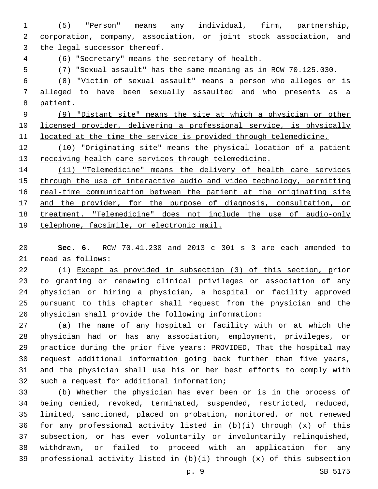(5) "Person" means any individual, firm, partnership, corporation, company, association, or joint stock association, and 3 the legal successor thereof.

(6) "Secretary" means the secretary of health.4

(7) "Sexual assault" has the same meaning as in RCW 70.125.030.

 (8) "Victim of sexual assault" means a person who alleges or is alleged to have been sexually assaulted and who presents as a 8 patient.

 (9) "Distant site" means the site at which a physician or other licensed provider, delivering a professional service, is physically 11 located at the time the service is provided through telemedicine.

 (10) "Originating site" means the physical location of a patient 13 receiving health care services through telemedicine.

 (11) "Telemedicine" means the delivery of health care services through the use of interactive audio and video technology, permitting 16 real-time communication between the patient at the originating site 17 and the provider, for the purpose of diagnosis, consultation, or treatment. "Telemedicine" does not include the use of audio-only telephone, facsimile, or electronic mail.

 **Sec. 6.** RCW 70.41.230 and 2013 c 301 s 3 are each amended to 21 read as follows:

 (1) Except as provided in subsection (3) of this section, prior to granting or renewing clinical privileges or association of any physician or hiring a physician, a hospital or facility approved pursuant to this chapter shall request from the physician and the physician shall provide the following information:

 (a) The name of any hospital or facility with or at which the physician had or has any association, employment, privileges, or practice during the prior five years: PROVIDED, That the hospital may request additional information going back further than five years, and the physician shall use his or her best efforts to comply with 32 such a request for additional information;

 (b) Whether the physician has ever been or is in the process of being denied, revoked, terminated, suspended, restricted, reduced, limited, sanctioned, placed on probation, monitored, or not renewed for any professional activity listed in (b)(i) through (x) of this subsection, or has ever voluntarily or involuntarily relinquished, withdrawn, or failed to proceed with an application for any professional activity listed in (b)(i) through (x) of this subsection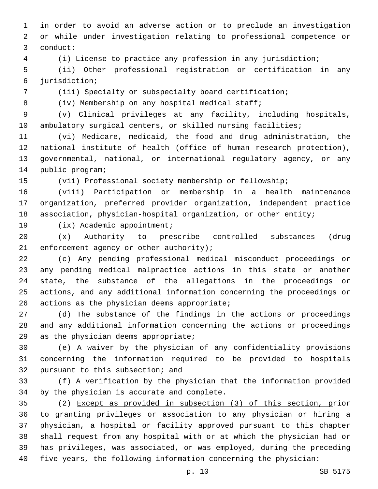in order to avoid an adverse action or to preclude an investigation or while under investigation relating to professional competence or conduct:3

(i) License to practice any profession in any jurisdiction;

 (ii) Other professional registration or certification in any jurisdiction;6

(iii) Specialty or subspecialty board certification;

8 (iv) Membership on any hospital medical staff;

 (v) Clinical privileges at any facility, including hospitals, ambulatory surgical centers, or skilled nursing facilities;

 (vi) Medicare, medicaid, the food and drug administration, the national institute of health (office of human research protection), governmental, national, or international regulatory agency, or any 14 public program;

(vii) Professional society membership or fellowship;

 (viii) Participation or membership in a health maintenance organization, preferred provider organization, independent practice association, physician-hospital organization, or other entity;

19 (ix) Academic appointment;

 (x) Authority to prescribe controlled substances (drug 21 enforcement agency or other authority);

 (c) Any pending professional medical misconduct proceedings or any pending medical malpractice actions in this state or another state, the substance of the allegations in the proceedings or actions, and any additional information concerning the proceedings or actions as the physician deems appropriate;

 (d) The substance of the findings in the actions or proceedings and any additional information concerning the actions or proceedings 29 as the physician deems appropriate;

 (e) A waiver by the physician of any confidentiality provisions concerning the information required to be provided to hospitals 32 pursuant to this subsection; and

 (f) A verification by the physician that the information provided 34 by the physician is accurate and complete.

 (2) Except as provided in subsection (3) of this section, prior to granting privileges or association to any physician or hiring a physician, a hospital or facility approved pursuant to this chapter shall request from any hospital with or at which the physician had or has privileges, was associated, or was employed, during the preceding five years, the following information concerning the physician: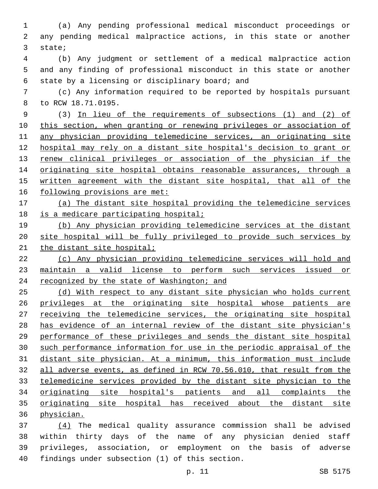(a) Any pending professional medical misconduct proceedings or any pending medical malpractice actions, in this state or another 3 state;

 (b) Any judgment or settlement of a medical malpractice action and any finding of professional misconduct in this state or another 6 state by a licensing or disciplinary board; and

 (c) Any information required to be reported by hospitals pursuant 8 to RCW 18.71.0195.

 (3) In lieu of the requirements of subsections (1) and (2) of this section, when granting or renewing privileges or association of any physician providing telemedicine services, an originating site hospital may rely on a distant site hospital's decision to grant or renew clinical privileges or association of the physician if the 14 originating site hospital obtains reasonable assurances, through a written agreement with the distant site hospital, that all of the following provisions are met:

 (a) The distant site hospital providing the telemedicine services 18 is a medicare participating hospital;

 (b) Any physician providing telemedicine services at the distant site hospital will be fully privileged to provide such services by 21 the distant site hospital;

 (c) Any physician providing telemedicine services will hold and maintain a valid license to perform such services issued or 24 recognized by the state of Washington; and

 (d) With respect to any distant site physician who holds current privileges at the originating site hospital whose patients are 27 receiving the telemedicine services, the originating site hospital has evidence of an internal review of the distant site physician's performance of these privileges and sends the distant site hospital such performance information for use in the periodic appraisal of the distant site physician. At a minimum, this information must include all adverse events, as defined in RCW 70.56.010, that result from the telemedicine services provided by the distant site physician to the originating site hospital's patients and all complaints the originating site hospital has received about the distant site physician.

 (4) The medical quality assurance commission shall be advised within thirty days of the name of any physician denied staff privileges, association, or employment on the basis of adverse 40 findings under subsection (1) of this section.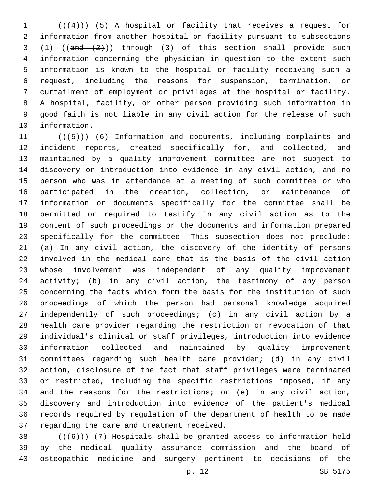(( $(4)$ )) (5) A hospital or facility that receives a request for information from another hospital or facility pursuant to subsections 3 (1)  $((and (2))$  through (3) of this section shall provide such information concerning the physician in question to the extent such information is known to the hospital or facility receiving such a request, including the reasons for suspension, termination, or curtailment of employment or privileges at the hospital or facility. A hospital, facility, or other person providing such information in good faith is not liable in any civil action for the release of such 10 information.

 $((+5+))$  (6) Information and documents, including complaints and incident reports, created specifically for, and collected, and maintained by a quality improvement committee are not subject to discovery or introduction into evidence in any civil action, and no person who was in attendance at a meeting of such committee or who participated in the creation, collection, or maintenance of information or documents specifically for the committee shall be permitted or required to testify in any civil action as to the content of such proceedings or the documents and information prepared specifically for the committee. This subsection does not preclude: (a) In any civil action, the discovery of the identity of persons involved in the medical care that is the basis of the civil action whose involvement was independent of any quality improvement activity; (b) in any civil action, the testimony of any person concerning the facts which form the basis for the institution of such proceedings of which the person had personal knowledge acquired independently of such proceedings; (c) in any civil action by a health care provider regarding the restriction or revocation of that individual's clinical or staff privileges, introduction into evidence information collected and maintained by quality improvement committees regarding such health care provider; (d) in any civil action, disclosure of the fact that staff privileges were terminated or restricted, including the specific restrictions imposed, if any and the reasons for the restrictions; or (e) in any civil action, discovery and introduction into evidence of the patient's medical records required by regulation of the department of health to be made 37 regarding the care and treatment received.

38  $((+6))$   $(7)$  Hospitals shall be granted access to information held by the medical quality assurance commission and the board of osteopathic medicine and surgery pertinent to decisions of the